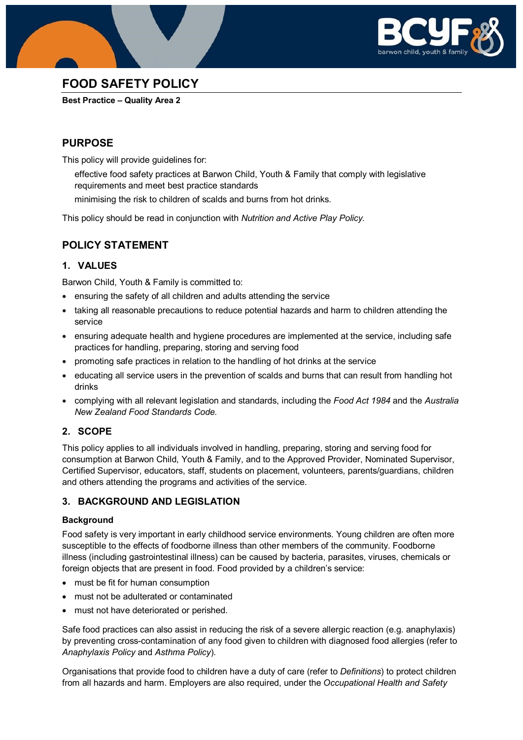



# **FOOD SAFETY POLICY**

**Best Practice – Quality Area 2**

# **PURPOSE**

This policy will provide guidelines for:

- effective food safety practices at Barwon Child, Youth & Family that comply with legislative requirements and meet best practice standards
- minimising the risk to children of scalds and burns from hot drinks.

This policy should be read in conjunction with *Nutrition and Active Play Policy.*

# **POLICY STATEMENT**

## **1. VALUES**

Barwon Child, Youth & Family is committed to:

- ensuring the safety of all children and adults attending the service
- taking all reasonable precautions to reduce potential hazards and harm to children attending the service
- ensuring adequate health and hygiene procedures are implemented at the service, including safe practices for handling, preparing, storing and serving food
- promoting safe practices in relation to the handling of hot drinks at the service
- educating all service users in the prevention of scalds and burns that can result from handling hot drinks
- complying with all relevant legislation and standards, including the *Food Act 1984* and the *Australia New Zealand Food Standards Code.*

### **2. SCOPE**

This policy applies to all individuals involved in handling, preparing, storing and serving food for consumption at Barwon Child, Youth & Family, and to the Approved Provider, Nominated Supervisor, Certified Supervisor, educators, staff, students on placement, volunteers, parents/guardians, children and others attending the programs and activities of the service.

### **3. BACKGROUND AND LEGISLATION**

### **Background**

Food safety is very important in early childhood service environments. Young children are often more susceptible to the effects of foodborne illness than other members of the community. Foodborne illness (including gastrointestinal illness) can be caused by bacteria, parasites, viruses, chemicals or foreign objects that are present in food. Food provided by a children's service:

- must be fit for human consumption
- must not be adulterated or contaminated
- must not have deteriorated or perished.

Safe food practices can also assist in reducing the risk of a severe allergic reaction (e.g. anaphylaxis) by preventing cross-contamination of any food given to children with diagnosed food allergies (refer to *Anaphylaxis Policy* and *Asthma Policy*).

Organisations that provide food to children have a duty of care (refer to *Definitions*) to protect children from all hazards and harm. Employers are also required, under the *Occupational Health and Safety*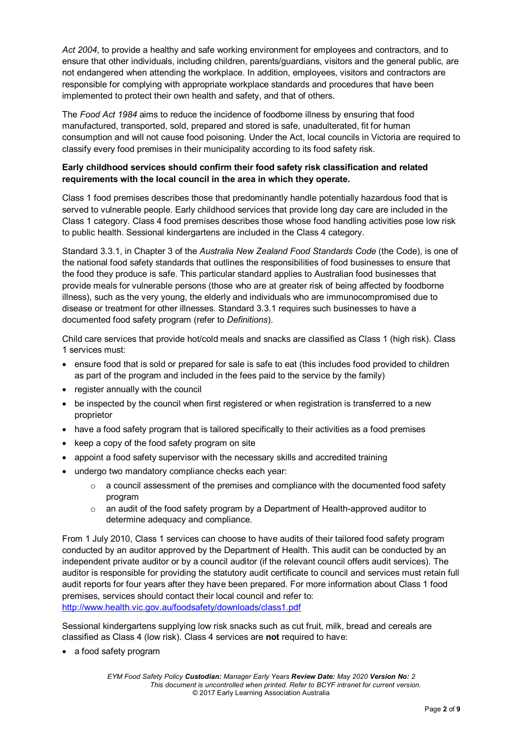*Act 2004*, to provide a healthy and safe working environment for employees and contractors, and to ensure that other individuals, including children, parents/guardians, visitors and the general public, are not endangered when attending the workplace. In addition, employees, visitors and contractors are responsible for complying with appropriate workplace standards and procedures that have been implemented to protect their own health and safety, and that of others.

The *Food Act 1984* aims to reduce the incidence of foodborne illness by ensuring that food manufactured, transported, sold, prepared and stored is safe, unadulterated, fit for human consumption and will not cause food poisoning. Under the Act, local councils in Victoria are required to classify every food premises in their municipality according to its food safety risk.

### **Early childhood services should confirm their food safety risk classification and related requirements with the local council in the area in which they operate.**

Class 1 food premises describes those that predominantly handle potentially hazardous food that is served to vulnerable people. Early childhood services that provide long day care are included in the Class 1 category. Class 4 food premises describes those whose food handling activities pose low risk to public health. Sessional kindergartens are included in the Class 4 category.

Standard 3.3.1, in Chapter 3 of the *Australia New Zealand Food Standards Code* (the Code), is one of the national food safety standards that outlines the responsibilities of food businesses to ensure that the food they produce is safe. This particular standard applies to Australian food businesses that provide meals for vulnerable persons (those who are at greater risk of being affected by foodborne illness), such as the very young, the elderly and individuals who are immunocompromised due to disease or treatment for other illnesses. Standard 3.3.1 requires such businesses to have a documented food safety program (refer to *Definitions*).

Child care services that provide hot/cold meals and snacks are classified as Class 1 (high risk). Class 1 services must:

- ensure food that is sold or prepared for sale is safe to eat (this includes food provided to children as part of the program and included in the fees paid to the service by the family)
- register annually with the council
- be inspected by the council when first registered or when registration is transferred to a new proprietor
- have a food safety program that is tailored specifically to their activities as a food premises
- keep a copy of the food safety program on site
- appoint a food safety supervisor with the necessary skills and accredited training
- undergo two mandatory compliance checks each year:
	- $\circ$  a council assessment of the premises and compliance with the documented food safety program
	- $\circ$  an audit of the food safety program by a Department of Health-approved auditor to determine adequacy and compliance.

From 1 July 2010, Class 1 services can choose to have audits of their tailored food safety program conducted by an auditor approved by the Department of Health. This audit can be conducted by an independent private auditor or by a council auditor (if the relevant council offers audit services). The auditor is responsible for providing the statutory audit certificate to council and services must retain full audit reports for four years after they have been prepared. For more information about Class 1 food premises, services should contact their local council and refer to: <http://www.health.vic.gov.au/foodsafety/downloads/class1.pdf>

Sessional kindergartens supplying low risk snacks such as cut fruit, milk, bread and cereals are classified as Class 4 (low risk). Class 4 services are **not** required to have:

• a food safety program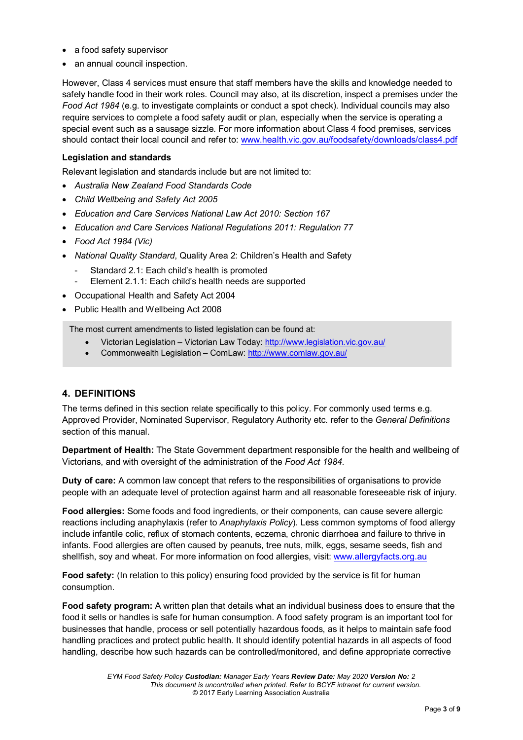- a food safety supervisor
- an annual council inspection.

However, Class 4 services must ensure that staff members have the skills and knowledge needed to safely handle food in their work roles. Council may also, at its discretion, inspect a premises under the *Food Act 1984* (e.g. to investigate complaints or conduct a spot check). Individual councils may also require services to complete a food safety audit or plan, especially when the service is operating a special event such as a sausage sizzle. For more information about Class 4 food premises, services should contact their local council and refer to: [www.health.vic.gov.au/foodsafety/downloads/class4.pdf](http://www.health.vic.gov.au/foodsafety/downloads/class4.pdf) 

### **Legislation and standards**

Relevant legislation and standards include but are not limited to:

- *Australia New Zealand Food Standards Code*
- *Child Wellbeing and Safety Act 2005*
- *Education and Care Services National Law Act 2010: Section 167*
- *Education and Care Services National Regulations 2011: Regulation 77*
- *Food Act 1984 (Vic)*
- *National Quality Standard*, Quality Area 2: Children's Health and Safety
	- Standard 2.1: Each child's health is promoted
	- Element 2.1.1: Each child's health needs are supported
- Occupational Health and Safety Act 2004
- Public Health and Wellbeing Act 2008

The most current amendments to listed legislation can be found at:

- Victorian Legislation Victorian Law Today:<http://www.legislation.vic.gov.au/>
- Commonwealth Legislation ComLaw:<http://www.comlaw.gov.au/>

### **4. DEFINITIONS**

The terms defined in this section relate specifically to this policy. For commonly used terms e.g. Approved Provider, Nominated Supervisor, Regulatory Authority etc. refer to the *General Definitions* section of this manual.

**Department of Health:** The State Government department responsible for the health and wellbeing of Victorians, and with oversight of the administration of the *Food Act 1984*.

**Duty of care:** A common law concept that refers to the responsibilities of organisations to provide people with an adequate level of protection against harm and all reasonable foreseeable risk of injury.

**Food allergies:** Some foods and food ingredients, or their components, can cause severe allergic reactions including anaphylaxis (refer to *Anaphylaxis Policy*). Less common symptoms of food allergy include infantile colic, reflux of stomach contents, eczema, chronic diarrhoea and failure to thrive in infants. Food allergies are often caused by peanuts, tree nuts, milk, eggs, sesame seeds, fish and shellfish, soy and wheat. For more information on food allergies, visit: [www.allergyfacts.org.au](http://www.allergyfacts.org.au/)

Food safety: (In relation to this policy) ensuring food provided by the service is fit for human consumption.

**Food safety program:** A written plan that details what an individual business does to ensure that the food it sells or handles is safe for human consumption. A food safety program is an important tool for businesses that handle, process or sell potentially hazardous foods, as it helps to maintain safe food handling practices and protect public health. It should identify potential hazards in all aspects of food handling, describe how such hazards can be controlled/monitored, and define appropriate corrective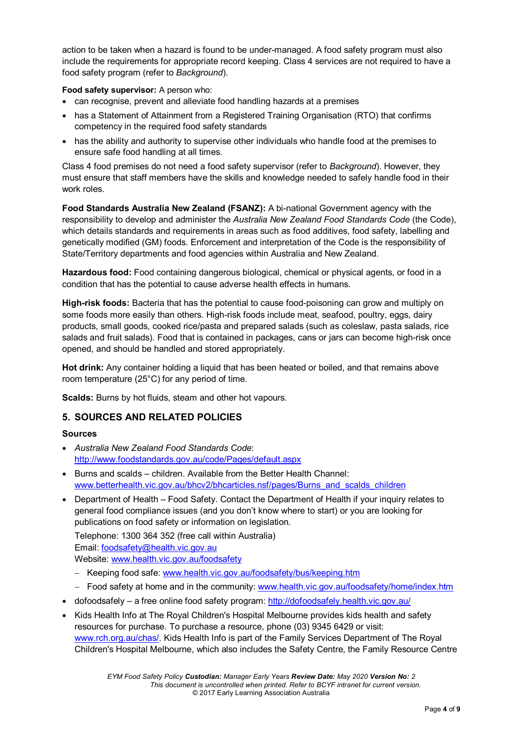action to be taken when a hazard is found to be under-managed. A food safety program must also include the requirements for appropriate record keeping. Class 4 services are not required to have a food safety program (refer to *Background*).

### **Food safety supervisor:** A person who:

- can recognise, prevent and alleviate food handling hazards at a premises
- has a Statement of Attainment from a Registered Training Organisation (RTO) that confirms competency in the required food safety standards
- has the ability and authority to supervise other individuals who handle food at the premises to ensure safe food handling at all times.

Class 4 food premises do not need a food safety supervisor (refer to *Background*). However, they must ensure that staff members have the skills and knowledge needed to safely handle food in their work roles.

**Food Standards Australia New Zealand (FSANZ):** A bi-national Government agency with the responsibility to develop and administer the *Australia New Zealand Food Standards Code* (the Code), which details standards and requirements in areas such as food additives, food safety, labelling and genetically modified (GM) foods. Enforcement and interpretation of the Code is the responsibility of State/Territory departments and food agencies within Australia and New Zealand.

**Hazardous food:** Food containing dangerous biological, chemical or physical agents, or food in a condition that has the potential to cause adverse health effects in humans.

**High-risk foods:** Bacteria that has the potential to cause food-poisoning can grow and multiply on some foods more easily than others. High-risk foods include meat, seafood, poultry, eggs, dairy products, small goods, cooked rice/pasta and prepared salads (such as coleslaw, pasta salads, rice salads and fruit salads). Food that is contained in packages, cans or jars can become high-risk once opened, and should be handled and stored appropriately.

**Hot drink:** Any container holding a liquid that has been heated or boiled, and that remains above room temperature (25°C) for any period of time.

**Scalds:** Burns by hot fluids, steam and other hot vapours.

### **5. SOURCES AND RELATED POLICIES**

### **Sources**

- *Australia New Zealand Food Standards Code*: <http://www.foodstandards.gov.au/code/Pages/default.aspx>
- Burns and scalds children. Available from the Better Health Channel: [www.betterhealth.vic.gov.au/bhcv2/bhcarticles.nsf/pages/Burns\\_and\\_scalds\\_children](http://www.betterhealth.vic.gov.au/bhcv2/bhcarticles.nsf/pages/Burns_and_scalds_children)
- Department of Health Food Safety. Contact the Department of Health if your inquiry relates to general food compliance issues (and you don't know where to start) or you are looking for publications on food safety or information on legislation.

Telephone: 1300 364 352 (free call within Australia)

Email: [foodsafety@health.vic.gov.au](mailto:foodsafety@health.vic.gov.au) 

Website: [www.health.vic.gov.au/foodsafety](http://www.health.vic.gov.au/foodsafety)

- − Keeping food safe: [www.health.vic.gov.au/foodsafety/bus/keeping.htm](http://www.health.vic.gov.au/foodsafety/bus/keeping.htm)
- − Food safety at home and in the community: [www.health.vic.gov.au/foodsafety/home/index.htm](http://www.health.vic.gov.au/foodsafety/home/index.htm)
- dofoodsafely a free online food safety program:<http://dofoodsafely.health.vic.gov.au/>
- Kids Health Info at The Royal Children's Hospital Melbourne provides kids health and safety resources for purchase. To purchase a resource, phone (03) 9345 6429 or visit: [www.rch.org.au/chas/.](http://www.rch.org.au/chas/) Kids Health Info is part of the Family Services Department of The Royal Children's Hospital Melbourne, which also includes the [Safety Centre,](http://www.rch.org.au/safetycentre/) th[e Family Resource Centre](http://www.rch.org.au/frc/)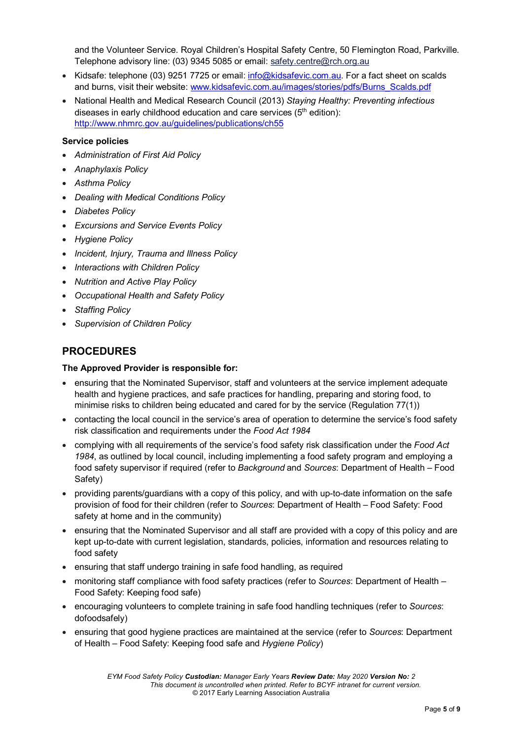and the [Volunteer Service.](http://www.rch.org.au/volunteers/) Royal Children's Hospital Safety Centre, 50 Flemington Road, Parkville. Telephone advisory line: (03) 9345 5085 or email: [safety.centre@rch.org.au](mailto:safety.centre@rch.org.au)

- Kidsafe: telephone (03) 9251 7725 or email: [info@kidsafevic.com.au.](mailto:info@kidsafevic.com.au) For a fact sheet on scalds and burns, visit their website: [www.kidsafevic.com.au/images/stories/pdfs/Burns\\_Scalds.pdf](http://www.kidsafevic.com.au/images/stories/pdfs/Burns_Scalds.pdf)
- National Health and Medical Research Council (2013) *Staying Healthy: Preventing infectious*  diseases in early childhood education and care services  $(5<sup>th</sup>$  edition): <http://www.nhmrc.gov.au/guidelines/publications/ch55>

#### **Service policies**

- *Administration of First Aid Policy*
- *Anaphylaxis Policy*
- *Asthma Policy*
- *Dealing with Medical Conditions Policy*
- *Diabetes Policy*
- *Excursions and Service Events Policy*
- *Hygiene Policy*
- *Incident, Injury, Trauma and Illness Policy*
- *Interactions with Children Policy*
- *Nutrition and Active Play Policy*
- *Occupational Health and Safety Policy*
- *Staffing Policy*
- *Supervision of Children Policy*

## **PROCEDURES**

#### **The Approved Provider is responsible for:**

- ensuring that the Nominated Supervisor, staff and volunteers at the service implement adequate health and hygiene practices, and safe practices for handling, preparing and storing food, to minimise risks to children being educated and cared for by the service (Regulation 77(1))
- contacting the local council in the service's area of operation to determine the service's food safety risk classification and requirements under the *Food Act 1984*
- complying with all requirements of the service's food safety risk classification under the *Food Act 1984*, as outlined by local council, including implementing a food safety program and employing a food safety supervisor if required (refer to *Background* and *Sources*: Department of Health – Food Safety)
- providing parents/guardians with a copy of this policy, and with up-to-date information on the safe provision of food for their children (refer to *Sources*: Department of Health – Food Safety: Food safety at home and in the community)
- ensuring that the Nominated Supervisor and all staff are provided with a copy of this policy and are kept up-to-date with current legislation, standards, policies, information and resources relating to food safety
- ensuring that staff undergo training in safe food handling, as required
- monitoring staff compliance with food safety practices (refer to *Sources*: Department of Health Food Safety: Keeping food safe)
- encouraging volunteers to complete training in safe food handling techniques (refer to *Sources*: dofoodsafely)
- ensuring that good hygiene practices are maintained at the service (refer to *Sources*: Department of Health – Food Safety: Keeping food safe and *Hygiene Policy*)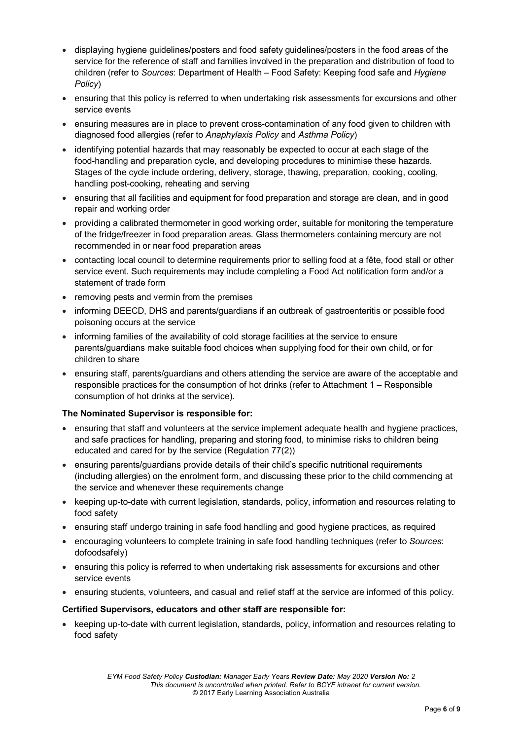- displaying hygiene guidelines/posters and food safety guidelines/posters in the food areas of the service for the reference of staff and families involved in the preparation and distribution of food to children (refer to *Sources*: Department of Health – Food Safety: Keeping food safe and *Hygiene Policy*)
- ensuring that this policy is referred to when undertaking risk assessments for excursions and other service events
- ensuring measures are in place to prevent cross-contamination of any food given to children with diagnosed food allergies (refer to *Anaphylaxis Policy* and *Asthma Policy*)
- identifying potential hazards that may reasonably be expected to occur at each stage of the food-handling and preparation cycle, and developing procedures to minimise these hazards. Stages of the cycle include ordering, delivery, storage, thawing, preparation, cooking, cooling, handling post-cooking, reheating and serving
- ensuring that all facilities and equipment for food preparation and storage are clean, and in good repair and working order
- providing a calibrated thermometer in good working order, suitable for monitoring the temperature of the fridge/freezer in food preparation areas. Glass thermometers containing mercury are not recommended in or near food preparation areas
- contacting local council to determine requirements prior to selling food at a fête, food stall or other service event. Such requirements may include completing a Food Act notification form and/or a statement of trade form
- removing pests and vermin from the premises
- informing DEECD, DHS and parents/guardians if an outbreak of gastroenteritis or possible food poisoning occurs at the service
- informing families of the availability of cold storage facilities at the service to ensure parents/guardians make suitable food choices when supplying food for their own child, or for children to share
- ensuring staff, parents/guardians and others attending the service are aware of the acceptable and responsible practices for the consumption of hot drinks (refer to Attachment 1 – Responsible consumption of hot drinks at the service).

### **The Nominated Supervisor is responsible for:**

- ensuring that staff and volunteers at the service implement adequate health and hygiene practices, and safe practices for handling, preparing and storing food, to minimise risks to children being educated and cared for by the service (Regulation 77(2))
- ensuring parents/guardians provide details of their child's specific nutritional requirements (including allergies) on the enrolment form, and discussing these prior to the child commencing at the service and whenever these requirements change
- keeping up-to-date with current legislation, standards, policy, information and resources relating to food safety
- ensuring staff undergo training in safe food handling and good hygiene practices, as required
- encouraging volunteers to complete training in safe food handling techniques (refer to *Sources*: dofoodsafely)
- ensuring this policy is referred to when undertaking risk assessments for excursions and other service events
- ensuring students, volunteers, and casual and relief staff at the service are informed of this policy.

### **Certified Supervisors, educators and other staff are responsible for:**

• keeping up-to-date with current legislation, standards, policy, information and resources relating to food safety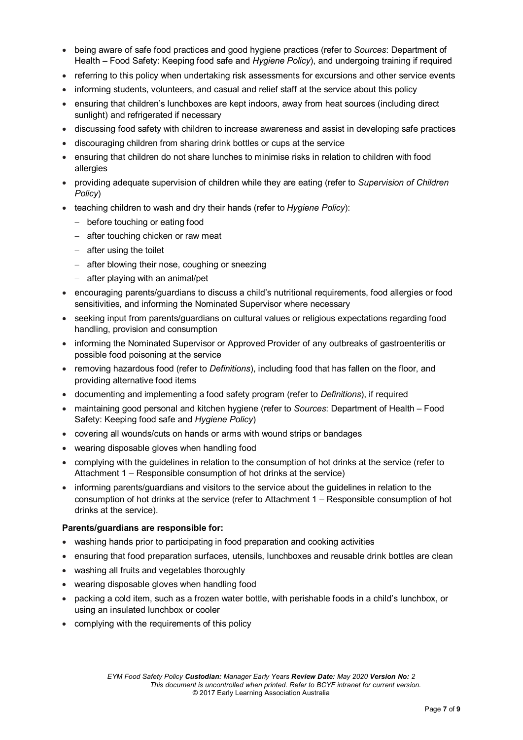- being aware of safe food practices and good hygiene practices (refer to *Sources*: Department of Health – Food Safety: Keeping food safe and *Hygiene Policy*), and undergoing training if required
- referring to this policy when undertaking risk assessments for excursions and other service events
- informing students, volunteers, and casual and relief staff at the service about this policy
- ensuring that children's lunchboxes are kept indoors, away from heat sources (including direct sunlight) and refrigerated if necessary
- discussing food safety with children to increase awareness and assist in developing safe practices
- discouraging children from sharing drink bottles or cups at the service
- ensuring that children do not share lunches to minimise risks in relation to children with food allergies
- providing adequate supervision of children while they are eating (refer to *Supervision of Children Policy*)
- teaching children to wash and dry their hands (refer to *Hygiene Policy*):
	- − before touching or eating food
	- − after touching chicken or raw meat
	- − after using the toilet
	- − after blowing their nose, coughing or sneezing
	- − after playing with an animal/pet
- encouraging parents/guardians to discuss a child's nutritional requirements, food allergies or food sensitivities, and informing the Nominated Supervisor where necessary
- seeking input from parents/guardians on cultural values or religious expectations regarding food handling, provision and consumption
- informing the Nominated Supervisor or Approved Provider of any outbreaks of gastroenteritis or possible food poisoning at the service
- removing hazardous food (refer to *Definitions*), including food that has fallen on the floor, and providing alternative food items
- documenting and implementing a food safety program (refer to *Definitions*), if required
- maintaining good personal and kitchen hygiene (refer to *Sources*: Department of Health Food Safety: Keeping food safe and *Hygiene Policy*)
- covering all wounds/cuts on hands or arms with wound strips or bandages
- wearing disposable gloves when handling food
- complying with the guidelines in relation to the consumption of hot drinks at the service (refer to Attachment 1 – Responsible consumption of hot drinks at the service)
- informing parents/guardians and visitors to the service about the guidelines in relation to the consumption of hot drinks at the service (refer to Attachment 1 – Responsible consumption of hot drinks at the service).

#### **Parents/guardians are responsible for:**

- washing hands prior to participating in food preparation and cooking activities
- ensuring that food preparation surfaces, utensils, lunchboxes and reusable drink bottles are clean
- washing all fruits and vegetables thoroughly
- wearing disposable gloves when handling food
- packing a cold item, such as a frozen water bottle, with perishable foods in a child's lunchbox, or using an insulated lunchbox or cooler
- complying with the requirements of this policy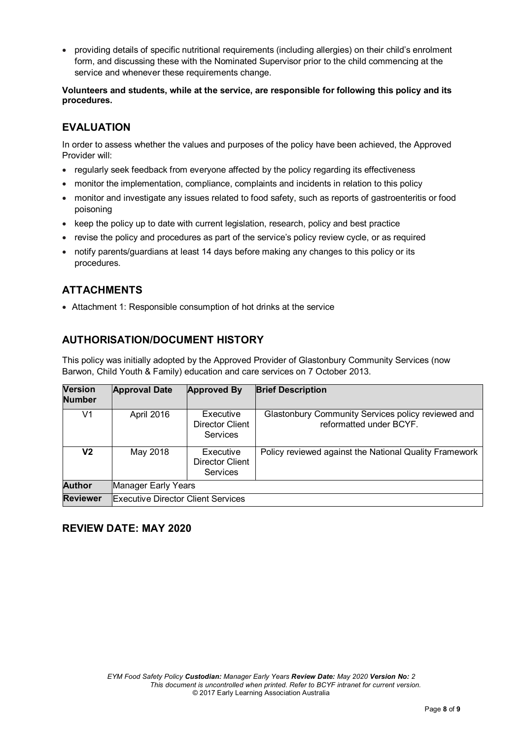• providing details of specific nutritional requirements (including allergies) on their child's enrolment form, and discussing these with the Nominated Supervisor prior to the child commencing at the service and whenever these requirements change.

**Volunteers and students, while at the service, are responsible for following this policy and its procedures.**

# **EVALUATION**

In order to assess whether the values and purposes of the policy have been achieved, the Approved Provider will:

- regularly seek feedback from everyone affected by the policy regarding its effectiveness
- monitor the implementation, compliance, complaints and incidents in relation to this policy
- monitor and investigate any issues related to food safety, such as reports of gastroenteritis or food poisoning
- keep the policy up to date with current legislation, research, policy and best practice
- revise the policy and procedures as part of the service's policy review cycle, or as required
- notify parents/guardians at least 14 days before making any changes to this policy or its procedures.

# **ATTACHMENTS**

• Attachment 1: Responsible consumption of hot drinks at the service

## **AUTHORISATION/DOCUMENT HISTORY**

This policy was initially adopted by the Approved Provider of Glastonbury Community Services (now Barwon, Child Youth & Family) education and care services on 7 October 2013.

| <b>Version</b><br><b>Number</b> | <b>Approval Date</b>                      | <b>Approved By</b>                              | <b>Brief Description</b>                                                      |  |
|---------------------------------|-------------------------------------------|-------------------------------------------------|-------------------------------------------------------------------------------|--|
| V1                              | April 2016                                | Executive<br>Director Client<br>Services        | Glastonbury Community Services policy reviewed and<br>reformatted under BCYF. |  |
| V <sub>2</sub>                  | May 2018                                  | Executive<br>Director Client<br><b>Services</b> | Policy reviewed against the National Quality Framework                        |  |
| <b>Author</b>                   | Manager Early Years                       |                                                 |                                                                               |  |
| <b>Reviewer</b>                 | <b>Executive Director Client Services</b> |                                                 |                                                                               |  |

### **REVIEW DATE: MAY 2020**